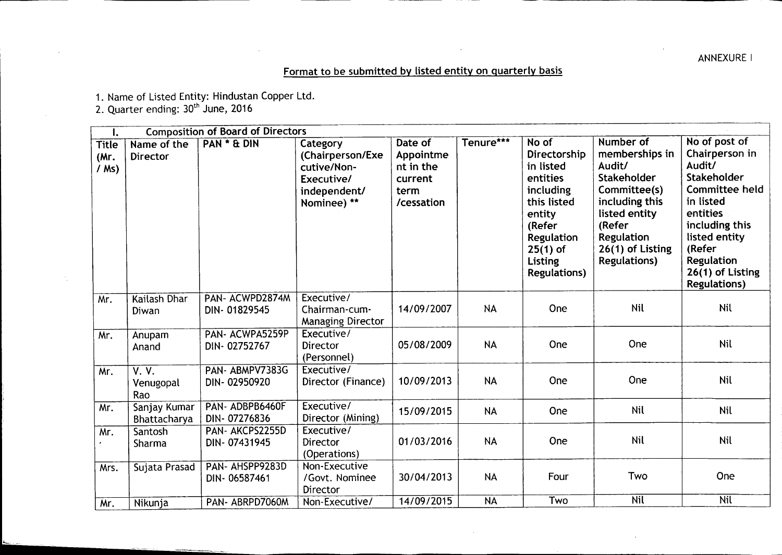ANNEXURE |

## Format to be submitted by listed entity on quarterly basis

1. Name of Listed Entity: Hindustan Copper Ltd.

2. Quarter ending: 30<sup>th</sup> Ju**ne, 20**16

| $\mathbf{l}$ .                  |                                        | <b>Composition of Board of Directors</b> |                                                                                          |                                                                    |                          |                                                                                                                                                                     |                                                                                                                                                                                   |                                                                                                                                                                                                           |
|---------------------------------|----------------------------------------|------------------------------------------|------------------------------------------------------------------------------------------|--------------------------------------------------------------------|--------------------------|---------------------------------------------------------------------------------------------------------------------------------------------------------------------|-----------------------------------------------------------------------------------------------------------------------------------------------------------------------------------|-----------------------------------------------------------------------------------------------------------------------------------------------------------------------------------------------------------|
| <b>Title</b><br>(Mr.<br>$/$ Ms) | Name of the<br>Director                | <b>PAN * &amp; DIN</b>                   | Category<br>(Chairperson/Exe<br>cutive/Non-<br>Executive/<br>independent/<br>Nominee) ** | Date of<br>Appointme<br>nt in the<br>current<br>term<br>/cessation | Tenure***                | No of<br>Directorship<br>in listed<br>entities<br>including<br>this listed<br>entity<br>(Refer<br><b>Regulation</b><br>$25(1)$ of<br>Listing<br><b>Regulations)</b> | Number of<br>memberships in<br>Audit/<br>Stakeholder<br>Committee(s)<br>including this<br>listed entity<br>(Refer<br><b>Regulation</b><br>26(1) of Listing<br><b>Regulations)</b> | No of post of<br>Chairperson in<br>Audit/<br>Stakeholder<br>Committee held<br>in listed<br>entities<br>including this<br>listed entity<br>(Refer<br>Regulation<br>26(1) of Listing<br><b>Regulations)</b> |
| Mr.                             | Kailash Dhar<br>Diwan                  | PAN- ACWPD2874M<br>DIN-01829545          | Executive/<br>Chairman-cum-<br><b>Managing Director</b>                                  | 14/09/2007                                                         | <b>NA</b>                | One                                                                                                                                                                 | <b>Nil</b>                                                                                                                                                                        | Nil                                                                                                                                                                                                       |
| Mr.                             | Anupam<br>Anand                        | PAN- ACWPA5259P<br>DIN-02752767          | Executive/<br>Director<br>(Personnel)                                                    | 05/08/2009                                                         | <b>NA</b>                | One                                                                                                                                                                 | One                                                                                                                                                                               | <b>Nil</b>                                                                                                                                                                                                |
| Mr.                             | $\overline{V. V.}$<br>Venugopal<br>Rao | PAN-ABMPV7383G<br>DIN-02950920           | Executive/<br>Director (Finance)                                                         | 10/09/2013                                                         | <b>NA</b>                | One                                                                                                                                                                 | One                                                                                                                                                                               | Nil                                                                                                                                                                                                       |
| Mr.                             | Sanjay Kumar<br>Bhattacharya           | PAN-ADBPB6460F<br>DIN-07276836           | Executive/<br>Director (Mining)                                                          | 15/09/2015                                                         | <b>NA</b>                | One                                                                                                                                                                 | Nil                                                                                                                                                                               | <b>Nil</b>                                                                                                                                                                                                |
| Mr.                             | Santosh<br>Sharma                      | PAN- AKCPS2255D<br>DIN-07431945          | Executive/<br><b>Director</b><br>(Operations)                                            | 01/03/2016                                                         | <b>NA</b>                | One                                                                                                                                                                 | Nil                                                                                                                                                                               | <b>Nil</b>                                                                                                                                                                                                |
| Mrs.                            | Sujata Prasad                          | PAN- AHSPP9283D<br>DIN-06587461          | Non-Executive<br>/Govt. Nominee<br>Director                                              | 30/04/2013                                                         | <b>NA</b>                | Four                                                                                                                                                                | Two                                                                                                                                                                               | One                                                                                                                                                                                                       |
| Mr.                             | Nikunja                                | PAN- ABRPD7060M                          | Non-Executive/                                                                           | 14/09/2015                                                         | $\overline{\mathsf{NA}}$ | Two                                                                                                                                                                 | <b>Nil</b>                                                                                                                                                                        | <b>Nil</b>                                                                                                                                                                                                |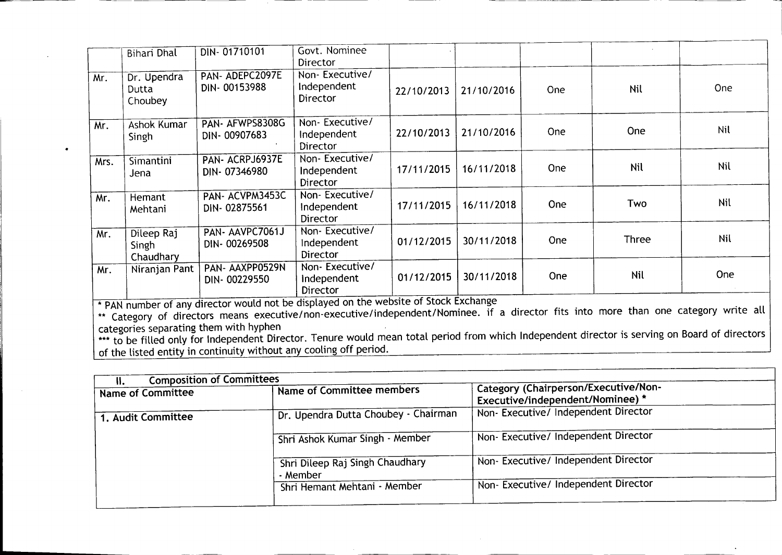|      | <b>Bihari Dhal</b>                                                                                                                                                                                                                                              | DIN-01710101                                                                                                                                                                                                                 | Govt. Nominee<br>Director                        |            |            |            |            |            |
|------|-----------------------------------------------------------------------------------------------------------------------------------------------------------------------------------------------------------------------------------------------------------------|------------------------------------------------------------------------------------------------------------------------------------------------------------------------------------------------------------------------------|--------------------------------------------------|------------|------------|------------|------------|------------|
| Mr.  | Dr. Upendra<br>Dutta<br>Choubey                                                                                                                                                                                                                                 | PAN-ADEPC2097E<br>DIN-00153988                                                                                                                                                                                               | Non-Executive/<br>Independent<br><b>Director</b> | 22/10/2013 | 21/10/2016 | <b>One</b> | Nil        | One        |
| Mr.  | <b>Ashok Kumar</b><br>Singh                                                                                                                                                                                                                                     | PAN- AFWPS8308G<br>DIN-00907683                                                                                                                                                                                              | Non-Executive/<br>Independent<br>Director        | 22/10/2013 | 21/10/2016 | <b>One</b> | One        | <b>Nil</b> |
| Mrs. | Simantini<br>Jena                                                                                                                                                                                                                                               | PAN- ACRPJ6937E<br>DIN-07346980                                                                                                                                                                                              | Non-Executive/<br>Independent<br>Director        | 17/11/2015 | 16/11/2018 | <b>One</b> | Nil        | Nil        |
| Mr.  | Hemant<br>Mehtani                                                                                                                                                                                                                                               | PAN-ACVPM3453C<br>DIN-02875561                                                                                                                                                                                               | Non-Executive/<br>Independent<br>Director        | 17/11/2015 | 16/11/2018 | One        | Two        | Nil        |
| Mr.  | Dileep Raj<br>Singh<br>Chaudhary                                                                                                                                                                                                                                | PAN-AAVPC7061J<br>DIN-00269508                                                                                                                                                                                               | Non-Executive/<br>Independent<br>Director        | 01/12/2015 | 30/11/2018 | One        | Three      | Nil        |
| Mr.  | Niranjan Pant                                                                                                                                                                                                                                                   | PAN-AAXPP0529N<br>DIN-00229550                                                                                                                                                                                               | Non-Executive/<br>Independent<br>Director        | 01/12/2015 | 30/11/2018 | One        | <b>Nil</b> | One        |
|      |                                                                                                                                                                                                                                                                 | * PAN number of any director would not be displayed on the website of Stock Exchange<br>** Category of directors means executive/non-executive/independent/Nominee. if a director fits into more than one category write all |                                                  |            |            |            |            |            |
|      | categories separating them with hyphen<br>*** to be filled only for Independent Director. Tenure would mean total period from which Independent director is serving on Board of directors<br>of the listed entity in continuity without any cooling off period. |                                                                                                                                                                                                                              |                                                  |            |            |            |            |            |

\_\_\_\_\_

 $\mathcal{L}^{\mathcal{L}}(\mathcal{A})$  . The  $\mathcal{L}^{\mathcal{L}}(\mathcal{A})$ 

**Contractor** 

 $\sim$ 

-1

| <b>Composition of Committees</b><br>₩. |                                             |                                                                          |  |
|----------------------------------------|---------------------------------------------|--------------------------------------------------------------------------|--|
| <b>Name of Committee</b>               | Name of Committee members                   | Category (Chairperson/Executive/Non-<br>Executive/independent/Nominee) * |  |
| 1. Audit Committee                     | Dr. Upendra Dutta Choubey - Chairman        | Non-Executive/ Independent Director                                      |  |
|                                        | Shri Ashok Kumar Singh - Member             | Non-Executive/ Independent Director                                      |  |
|                                        | Shri Dileep Raj Singh Chaudhary<br>- Member | Non-Executive/ Independent Director                                      |  |
|                                        | Shri Hemant Mehtani - Member                | Non- Executive/ Independent Director                                     |  |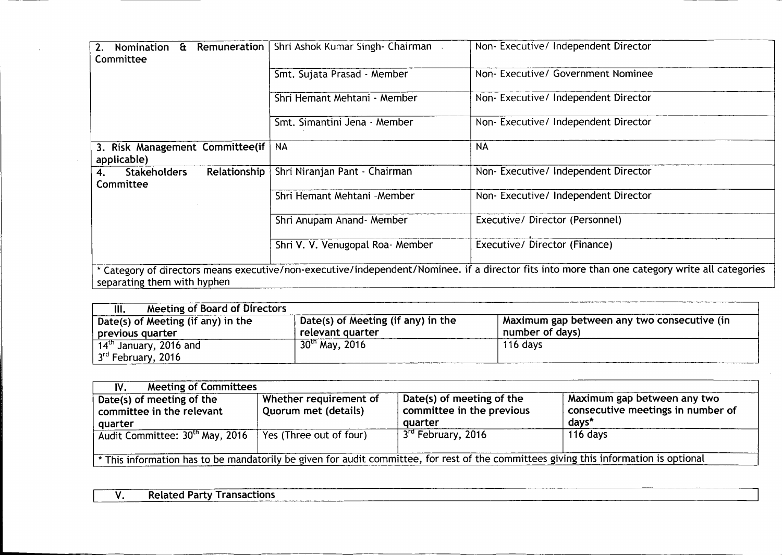| Nomination & Remuneration<br>Committee                 | Shri Ashok Kumar Singh- Chairman | Non- Executive/ Independent Director |
|--------------------------------------------------------|----------------------------------|--------------------------------------|
|                                                        | Smt. Sujata Prasad - Member      | Non- Executive/ Government Nominee   |
|                                                        | Shri Hemant Mehtani - Member     | Non-Executive/ Independent Director  |
|                                                        | Smt. Simantini Jena - Member     | Non-Executive/ Independent Director  |
| 3. Risk Management Committee(if   NA<br>applicable)    |                                  | <b>NA</b>                            |
| Relationship<br><b>Stakeholders</b><br>4.<br>Committee | Shri Niranjan Pant - Chairman    | Non-Executive/ Independent Director  |
|                                                        | Shri Hemant Mehtani - Member     | Non-Executive/ Independent Director  |
|                                                        | Shri Anupam Anand- Member        | Executive/ Director (Personnel)      |
|                                                        | Shri V. V. Venugopal Roa- Member | Executive/ Director (Finance)        |

 $\sim 10^{11}$  km s  $^{-1}$ 

| Meeting of Board of Directors<br>III.                      |                                                        |                                                                |
|------------------------------------------------------------|--------------------------------------------------------|----------------------------------------------------------------|
| Date(s) of Meeting (if any) in the<br>previous quarter     | Date(s) of Meeting (if any) in the<br>relevant quarter | Maximum gap between any two consecutive (in<br>number of days) |
| $14th$ January, 2016 and<br>3 <sup>rd</sup> February, 2016 | $30th$ May, 2016                                       | 116 days                                                       |

| <b>Meeting of Committees</b><br>IV.                               |                                                |                                                                   |                                                                           |
|-------------------------------------------------------------------|------------------------------------------------|-------------------------------------------------------------------|---------------------------------------------------------------------------|
| Date(s) of meeting of the<br>committee in the relevant<br>quarter | Whether requirement of<br>Quorum met (details) | Date(s) of meeting of the<br>committee in the previous<br>quarter | Maximum gap between any two<br>consecutive meetings in number of<br>days* |
| Audit Committee: 30th May, 2016                                   | Yes (Three out of four)                        | 3 <sup>rd</sup> February, 2016                                    | 116 days                                                                  |

| <b>Related Party</b> | <b>Transactions</b> |  |
|----------------------|---------------------|--|
|                      |                     |  |
|                      |                     |  |
|                      |                     |  |